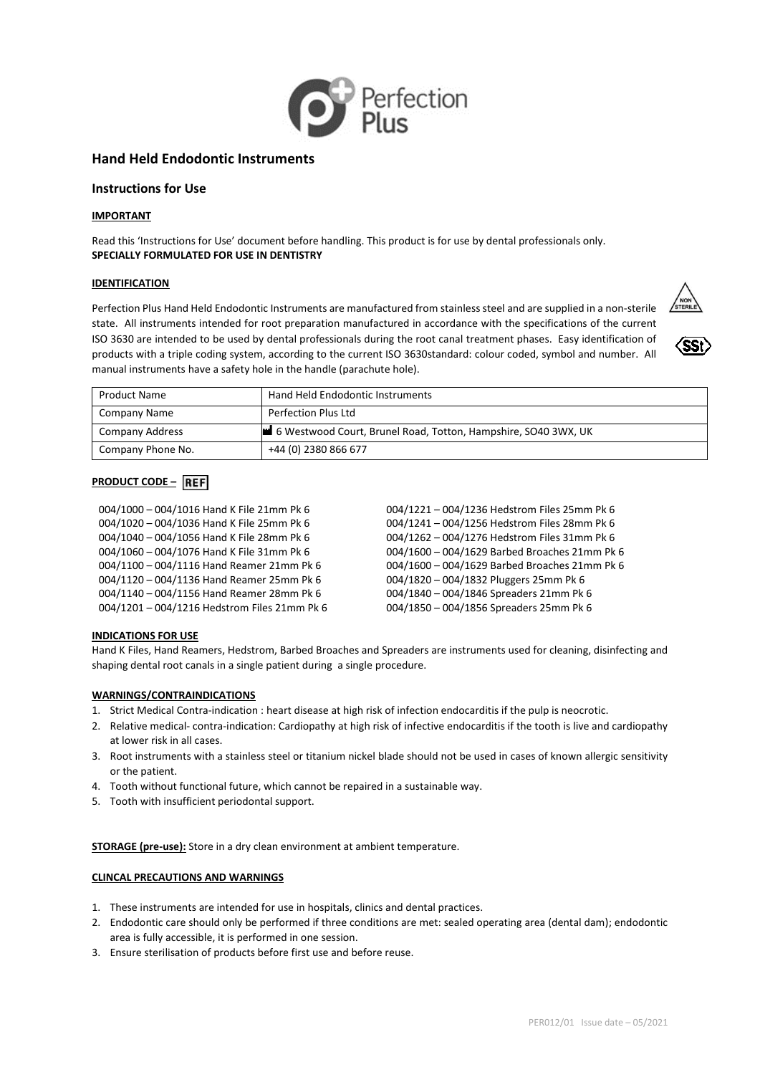

# **Hand Held Endodontic Instruments**

## **Instructions for Use**

## **IMPORTANT**

Read this 'Instructions for Use' document before handling. This product is for use by dental professionals only. **SPECIALLY FORMULATED FOR USE IN DENTISTRY**

#### **IDENTIFICATION**

Perfection Plus Hand Held Endodontic Instruments are manufactured from stainless steel and are supplied in a non-sterile state. All instruments intended for root preparation manufactured in accordance with the specifications of the current ISO 3630 are intended to be used by dental professionals during the root canal treatment phases. Easy identification of products with a triple coding system, according to the current ISO 3630standard: colour coded, symbol and number. All manual instruments have a safety hole in the handle (parachute hole).





| Product Name           | Hand Held Endodontic Instruments                               |
|------------------------|----------------------------------------------------------------|
| Company Name           | Perfection Plus Ltd                                            |
| <b>Company Address</b> | 6 Westwood Court, Brunel Road, Totton, Hampshire, SO40 3WX, UK |
| Company Phone No.      | +44 (0) 2380 866 677                                           |

## **PRODUCT CODE – REF**

| 004/1000 - 004/1016 Hand K File 21mm Pk 6    |
|----------------------------------------------|
| 004/1020 - 004/1036 Hand K File 25mm Pk 6    |
| 004/1040 - 004/1056 Hand K File 28mm Pk 6    |
| 004/1060 - 004/1076 Hand K File 31mm Pk 6    |
| 004/1100 - 004/1116 Hand Reamer 21mm Pk 6    |
| 004/1120 - 004/1136 Hand Reamer 25mm Pk 6    |
| 004/1140 - 004/1156 Hand Reamer 28mm Pk 6    |
| 004/1201 - 004/1216 Hedstrom Files 21mm Pk 6 |

004/1221 – 004/1236 Hedstrom Files 25mm Pk 6 004/1241 – 004/1256 Hedstrom Files 28mm Pk 6 004/1262 – 004/1276 Hedstrom Files 31mm Pk 6 004/1600 – 004/1629 Barbed Broaches 21mm Pk 6 004/1600 – 004/1629 Barbed Broaches 21mm Pk 6 004/1820 – 004/1832 Pluggers 25mm Pk 6 004/1840 – 004/1846 Spreaders 21mm Pk 6 004/1850 – 004/1856 Spreaders 25mm Pk 6

## **INDICATIONS FOR USE**

Hand K Files, Hand Reamers, Hedstrom, Barbed Broaches and Spreaders are instruments used for cleaning, disinfecting and shaping dental root canals in a single patient during a single procedure.

### **WARNINGS/CONTRAINDICATIONS**

- 1. Strict Medical Contra-indication : heart disease at high risk of infection endocarditis if the pulp is neocrotic.
- 2. Relative medical- contra-indication: Cardiopathy at high risk of infective endocarditis if the tooth is live and cardiopathy at lower risk in all cases.
- 3. Root instruments with a stainless steel or titanium nickel blade should not be used in cases of known allergic sensitivity or the patient.
- 4. Tooth without functional future, which cannot be repaired in a sustainable way.
- 5. Tooth with insufficient periodontal support.

**STORAGE (pre-use):** Store in a dry clean environment at ambient temperature.

## **CLINCAL PRECAUTIONS AND WARNINGS**

- 1. These instruments are intended for use in hospitals, clinics and dental practices.
- 2. Endodontic care should only be performed if three conditions are met: sealed operating area (dental dam); endodontic area is fully accessible, it is performed in one session.
- 3. Ensure sterilisation of products before first use and before reuse.